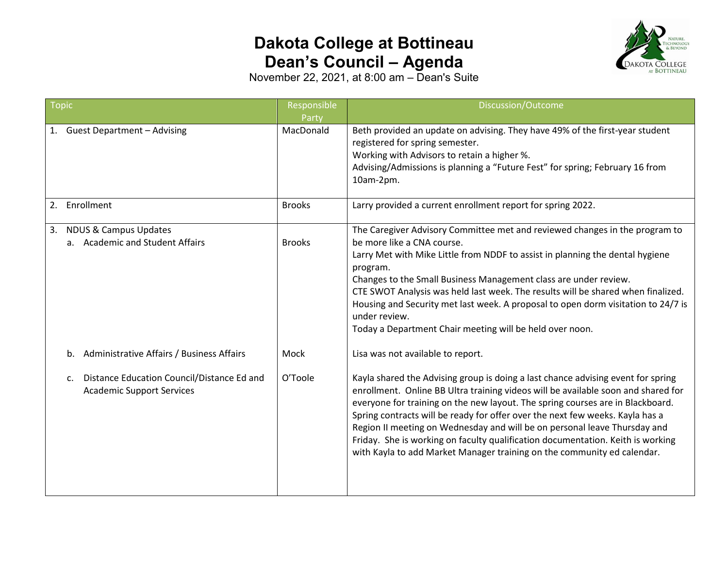## **Dakota College at Bottineau Dean's Council – Agenda**



November 22, 2021, at 8:00 am – Dean's Suite

| <b>Topic</b>                                                                                     | Responsible   | Discussion/Outcome                                                                                                                                                                                                                                                                                                                                                                                                                                                                                                                                                                  |
|--------------------------------------------------------------------------------------------------|---------------|-------------------------------------------------------------------------------------------------------------------------------------------------------------------------------------------------------------------------------------------------------------------------------------------------------------------------------------------------------------------------------------------------------------------------------------------------------------------------------------------------------------------------------------------------------------------------------------|
|                                                                                                  | Party         |                                                                                                                                                                                                                                                                                                                                                                                                                                                                                                                                                                                     |
| <b>Guest Department - Advising</b><br>1.                                                         | MacDonald     | Beth provided an update on advising. They have 49% of the first-year student<br>registered for spring semester.<br>Working with Advisors to retain a higher %.<br>Advising/Admissions is planning a "Future Fest" for spring; February 16 from<br>10am-2pm.                                                                                                                                                                                                                                                                                                                         |
| Enrollment<br>2.                                                                                 | <b>Brooks</b> | Larry provided a current enrollment report for spring 2022.                                                                                                                                                                                                                                                                                                                                                                                                                                                                                                                         |
| <b>NDUS &amp; Campus Updates</b><br>3.<br>a. Academic and Student Affairs                        | <b>Brooks</b> | The Caregiver Advisory Committee met and reviewed changes in the program to<br>be more like a CNA course.<br>Larry Met with Mike Little from NDDF to assist in planning the dental hygiene<br>program.<br>Changes to the Small Business Management class are under review.<br>CTE SWOT Analysis was held last week. The results will be shared when finalized.<br>Housing and Security met last week. A proposal to open dorm visitation to 24/7 is<br>under review.<br>Today a Department Chair meeting will be held over noon.                                                    |
| Administrative Affairs / Business Affairs<br>b.                                                  | Mock          | Lisa was not available to report.                                                                                                                                                                                                                                                                                                                                                                                                                                                                                                                                                   |
| Distance Education Council/Distance Ed and<br>$\mathsf{c}$ .<br><b>Academic Support Services</b> | O'Toole       | Kayla shared the Advising group is doing a last chance advising event for spring<br>enrollment. Online BB Ultra training videos will be available soon and shared for<br>everyone for training on the new layout. The spring courses are in Blackboard.<br>Spring contracts will be ready for offer over the next few weeks. Kayla has a<br>Region II meeting on Wednesday and will be on personal leave Thursday and<br>Friday. She is working on faculty qualification documentation. Keith is working<br>with Kayla to add Market Manager training on the community ed calendar. |